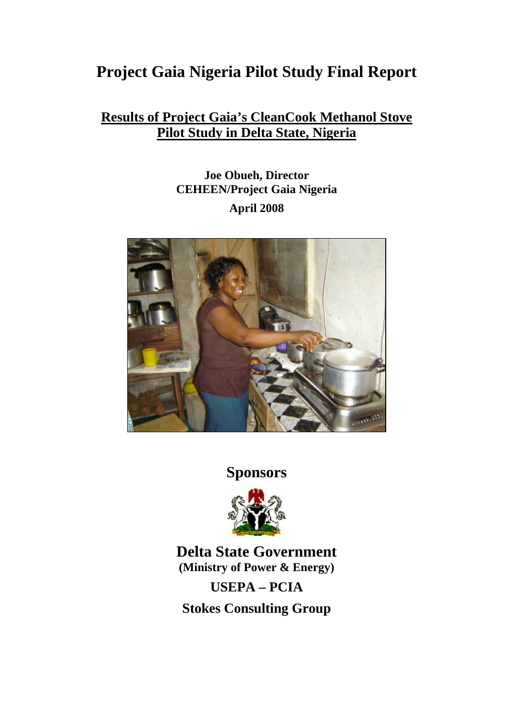# **Project Gaia Nigeria Pilot Study Final Report**

# **Results of Project Gaia's CleanCook Methanol Stove Pilot Study in Delta State, Nigeria**

# **Joe Obueh, Director CEHEEN/Project Gaia Nigeria April 2008**



**Sponsors** 



**Delta State Government (Ministry of Power & Energy)** 

**USEPA – PCIA** 

**Stokes Consulting Group**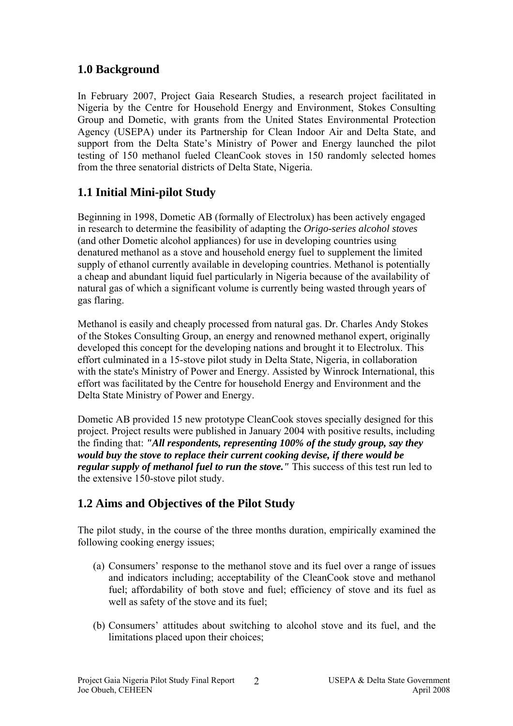# **1.0 Background**

In February 2007, Project Gaia Research Studies, a research project facilitated in Nigeria by the Centre for Household Energy and Environment, Stokes Consulting Group and Dometic, with grants from the United States Environmental Protection Agency (USEPA) under its Partnership for Clean Indoor Air and Delta State, and support from the Delta State's Ministry of Power and Energy launched the pilot testing of 150 methanol fueled CleanCook stoves in 150 randomly selected homes from the three senatorial districts of Delta State, Nigeria.

# **1.1 Initial Mini-pilot Study**

Beginning in 1998, Dometic AB (formally of Electrolux) has been actively engaged in research to determine the feasibility of adapting the *Origo-series alcohol stoves*  (and other Dometic alcohol appliances) for use in developing countries using denatured methanol as a stove and household energy fuel to supplement the limited supply of ethanol currently available in developing countries. Methanol is potentially a cheap and abundant liquid fuel particularly in Nigeria because of the availability of natural gas of which a significant volume is currently being wasted through years of gas flaring.

Methanol is easily and cheaply processed from natural gas. Dr. Charles Andy Stokes of the Stokes Consulting Group, an energy and renowned methanol expert, originally developed this concept for the developing nations and brought it to Electrolux. This effort culminated in a 15-stove pilot study in Delta State, Nigeria, in collaboration with the state's Ministry of Power and Energy. Assisted by Winrock International, this effort was facilitated by the Centre for household Energy and Environment and the Delta State Ministry of Power and Energy.

Dometic AB provided 15 new prototype CleanCook stoves specially designed for this project. Project results were published in January 2004 with positive results, including the finding that: *"All respondents, representing 100% of the study group, say they would buy the stove to replace their current cooking devise, if there would be regular supply of methanol fuel to run the stove."* This success of this test run led to the extensive 150-stove pilot study.

# **1.2 Aims and Objectives of the Pilot Study**

The pilot study, in the course of the three months duration, empirically examined the following cooking energy issues;

- (a) Consumers' response to the methanol stove and its fuel over a range of issues and indicators including; acceptability of the CleanCook stove and methanol fuel; affordability of both stove and fuel; efficiency of stove and its fuel as well as safety of the stove and its fuel;
- (b) Consumers' attitudes about switching to alcohol stove and its fuel, and the limitations placed upon their choices;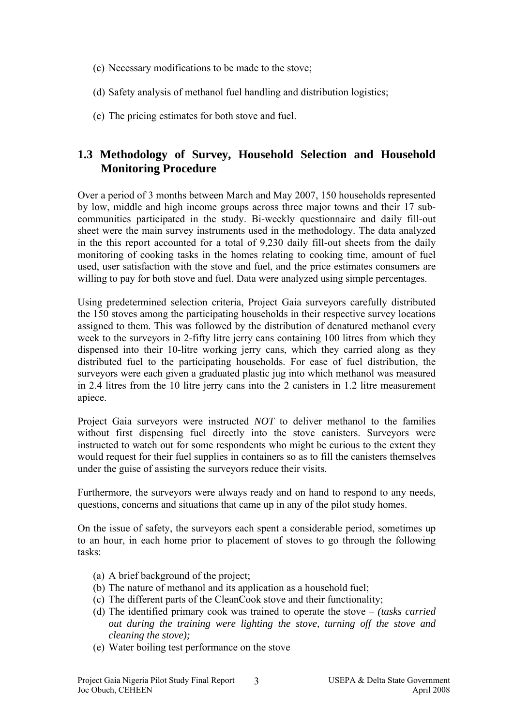- (c) Necessary modifications to be made to the stove;
- (d) Safety analysis of methanol fuel handling and distribution logistics;
- (e) The pricing estimates for both stove and fuel.

# **1.3 Methodology of Survey, Household Selection and Household Monitoring Procedure**

Over a period of 3 months between March and May 2007, 150 households represented by low, middle and high income groups across three major towns and their 17 subcommunities participated in the study. Bi-weekly questionnaire and daily fill-out sheet were the main survey instruments used in the methodology. The data analyzed in the this report accounted for a total of 9,230 daily fill-out sheets from the daily monitoring of cooking tasks in the homes relating to cooking time, amount of fuel used, user satisfaction with the stove and fuel, and the price estimates consumers are willing to pay for both stove and fuel. Data were analyzed using simple percentages.

Using predetermined selection criteria, Project Gaia surveyors carefully distributed the 150 stoves among the participating households in their respective survey locations assigned to them. This was followed by the distribution of denatured methanol every week to the surveyors in 2-fifty litre jerry cans containing 100 litres from which they dispensed into their 10-litre working jerry cans, which they carried along as they distributed fuel to the participating households. For ease of fuel distribution, the surveyors were each given a graduated plastic jug into which methanol was measured in 2.4 litres from the 10 litre jerry cans into the 2 canisters in 1.2 litre measurement apiece.

Project Gaia surveyors were instructed *NOT* to deliver methanol to the families without first dispensing fuel directly into the stove canisters. Surveyors were instructed to watch out for some respondents who might be curious to the extent they would request for their fuel supplies in containers so as to fill the canisters themselves under the guise of assisting the surveyors reduce their visits.

Furthermore, the surveyors were always ready and on hand to respond to any needs, questions, concerns and situations that came up in any of the pilot study homes.

On the issue of safety, the surveyors each spent a considerable period, sometimes up to an hour, in each home prior to placement of stoves to go through the following tasks:

- (a) A brief background of the project;
- (b) The nature of methanol and its application as a household fuel;
- (c) The different parts of the CleanCook stove and their functionality;
- (d) The identified primary cook was trained to operate the stove *(tasks carried out during the training were lighting the stove, turning off the stove and cleaning the stove);*
- (e) Water boiling test performance on the stove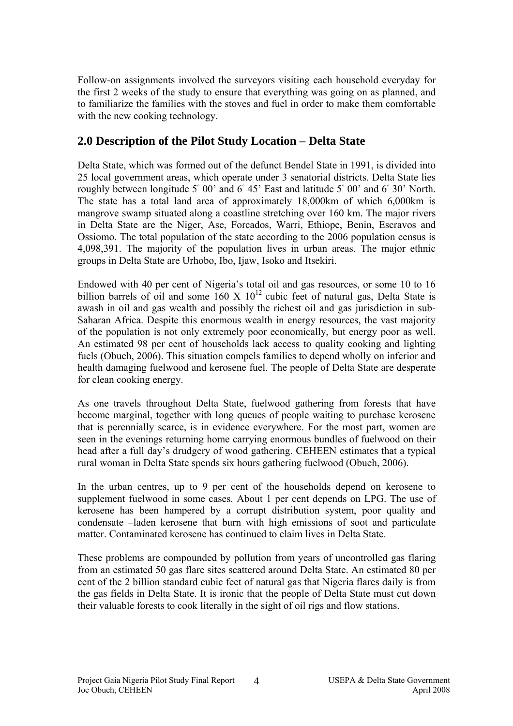Follow-on assignments involved the surveyors visiting each household everyday for the first 2 weeks of the study to ensure that everything was going on as planned, and to familiarize the families with the stoves and fuel in order to make them comfortable with the new cooking technology.

## **2.0 Description of the Pilot Study Location – Delta State**

Delta State, which was formed out of the defunct Bendel State in 1991, is divided into 25 local government areas, which operate under 3 senatorial districts. Delta State lies roughly between longitude  $5°00'$  and  $6°45'$  East and latitude  $5°00'$  and  $6°30'$  North. The state has a total land area of approximately 18,000km of which 6,000km is mangrove swamp situated along a coastline stretching over 160 km. The major rivers in Delta State are the Niger, Ase, Forcados, Warri, Ethiope, Benin, Escravos and Ossiomo. The total population of the state according to the 2006 population census is 4,098,391. The majority of the population lives in urban areas. The major ethnic groups in Delta State are Urhobo, Ibo, Ijaw, Isoko and Itsekiri.

Endowed with 40 per cent of Nigeria's total oil and gas resources, or some 10 to 16 billion barrels of oil and some  $160 \times 10^{12}$  cubic feet of natural gas, Delta State is awash in oil and gas wealth and possibly the richest oil and gas jurisdiction in sub-Saharan Africa. Despite this enormous wealth in energy resources, the vast majority of the population is not only extremely poor economically, but energy poor as well. An estimated 98 per cent of households lack access to quality cooking and lighting fuels (Obueh, 2006). This situation compels families to depend wholly on inferior and health damaging fuelwood and kerosene fuel. The people of Delta State are desperate for clean cooking energy.

As one travels throughout Delta State, fuelwood gathering from forests that have become marginal, together with long queues of people waiting to purchase kerosene that is perennially scarce, is in evidence everywhere. For the most part, women are seen in the evenings returning home carrying enormous bundles of fuelwood on their head after a full day's drudgery of wood gathering. CEHEEN estimates that a typical rural woman in Delta State spends six hours gathering fuelwood (Obueh, 2006).

In the urban centres, up to 9 per cent of the households depend on kerosene to supplement fuelwood in some cases. About 1 per cent depends on LPG. The use of kerosene has been hampered by a corrupt distribution system, poor quality and condensate –laden kerosene that burn with high emissions of soot and particulate matter. Contaminated kerosene has continued to claim lives in Delta State.

These problems are compounded by pollution from years of uncontrolled gas flaring from an estimated 50 gas flare sites scattered around Delta State. An estimated 80 per cent of the 2 billion standard cubic feet of natural gas that Nigeria flares daily is from the gas fields in Delta State. It is ironic that the people of Delta State must cut down their valuable forests to cook literally in the sight of oil rigs and flow stations.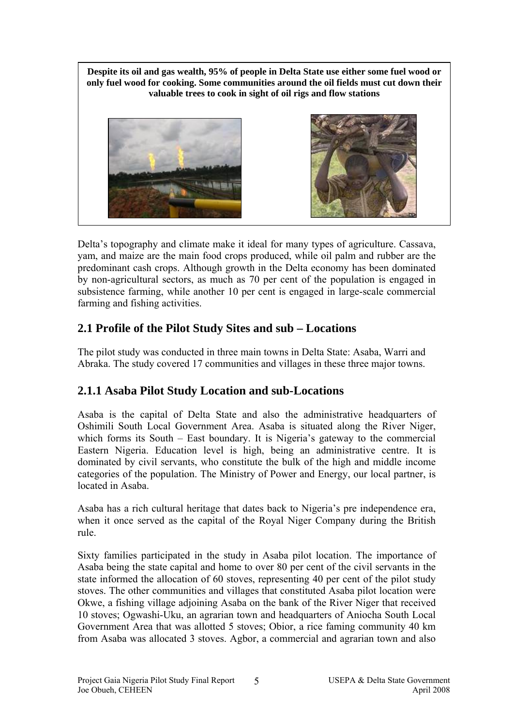**Despite its oil and gas wealth, 95% of people in Delta State use either some fuel wood or only fuel wood for cooking. Some communities around the oil fields must cut down their valuable trees to cook in sight of oil rigs and flow stations**





Delta's topography and climate make it ideal for many types of agriculture. Cassava, yam, and maize are the main food crops produced, while oil palm and rubber are the predominant cash crops. Although growth in the Delta economy has been dominated by non-agricultural sectors, as much as 70 per cent of the population is engaged in subsistence farming, while another 10 per cent is engaged in large-scale commercial farming and fishing activities.

# **2.1 Profile of the Pilot Study Sites and sub – Locations**

The pilot study was conducted in three main towns in Delta State: Asaba, Warri and Abraka. The study covered 17 communities and villages in these three major towns.

# **2.1.1 Asaba Pilot Study Location and sub-Locations**

Asaba is the capital of Delta State and also the administrative headquarters of Oshimili South Local Government Area. Asaba is situated along the River Niger, which forms its South – East boundary. It is Nigeria's gateway to the commercial Eastern Nigeria. Education level is high, being an administrative centre. It is dominated by civil servants, who constitute the bulk of the high and middle income categories of the population. The Ministry of Power and Energy, our local partner, is located in Asaba.

Asaba has a rich cultural heritage that dates back to Nigeria's pre independence era, when it once served as the capital of the Royal Niger Company during the British rule.

Sixty families participated in the study in Asaba pilot location. The importance of Asaba being the state capital and home to over 80 per cent of the civil servants in the state informed the allocation of 60 stoves, representing 40 per cent of the pilot study stoves. The other communities and villages that constituted Asaba pilot location were Okwe, a fishing village adjoining Asaba on the bank of the River Niger that received 10 stoves; Ogwashi-Uku, an agrarian town and headquarters of Aniocha South Local Government Area that was allotted 5 stoves; Obior, a rice faming community 40 km from Asaba was allocated 3 stoves. Agbor, a commercial and agrarian town and also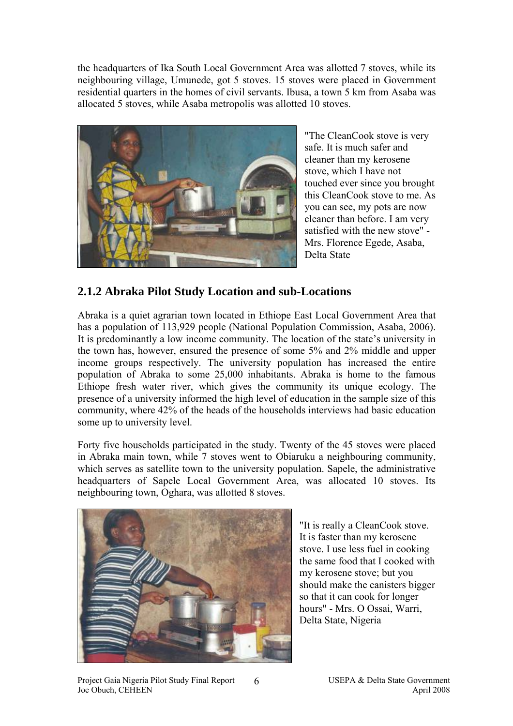the headquarters of Ika South Local Government Area was allotted 7 stoves, while its neighbouring village, Umunede, got 5 stoves. 15 stoves were placed in Government residential quarters in the homes of civil servants. Ibusa, a town 5 km from Asaba was allocated 5 stoves, while Asaba metropolis was allotted 10 stoves.



"The CleanCook stove is very safe. It is much safer and cleaner than my kerosene stove, which I have not touched ever since you brought this CleanCook stove to me. As you can see, my pots are now cleaner than before. I am very satisfied with the new stove" - Mrs. Florence Egede, Asaba, Delta State

## **2.1.2 Abraka Pilot Study Location and sub-Locations**

Abraka is a quiet agrarian town located in Ethiope East Local Government Area that has a population of 113,929 people (National Population Commission, Asaba, 2006). It is predominantly a low income community. The location of the state's university in the town has, however, ensured the presence of some 5% and 2% middle and upper income groups respectively. The university population has increased the entire population of Abraka to some 25,000 inhabitants. Abraka is home to the famous Ethiope fresh water river, which gives the community its unique ecology. The presence of a university informed the high level of education in the sample size of this community, where 42% of the heads of the households interviews had basic education some up to university level.

Forty five households participated in the study. Twenty of the 45 stoves were placed in Abraka main town, while 7 stoves went to Obiaruku a neighbouring community, which serves as satellite town to the university population. Sapele, the administrative headquarters of Sapele Local Government Area, was allocated 10 stoves. Its neighbouring town, Oghara, was allotted 8 stoves.

6



"It is really a CleanCook stove. It is faster than my kerosene stove. I use less fuel in cooking the same food that I cooked with my kerosene stove; but you should make the canisters bigger so that it can cook for longer hours" - Mrs. O Ossai, Warri, Delta State, Nigeria

Project Gaia Nigeria Pilot Study Final Report 6 USEPA & Delta State Government Joe Obueh, CEHEEN April 2008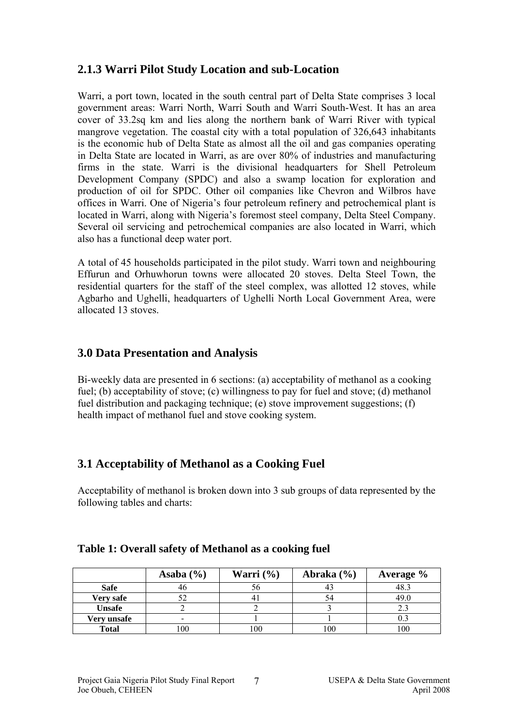# **2.1.3 Warri Pilot Study Location and sub-Location**

Warri, a port town, located in the south central part of Delta State comprises 3 local government areas: Warri North, Warri South and Warri South-West. It has an area cover of 33.2sq km and lies along the northern bank of Warri River with typical mangrove vegetation. The coastal city with a total population of 326,643 inhabitants is the economic hub of Delta State as almost all the oil and gas companies operating in Delta State are located in Warri, as are over 80% of industries and manufacturing firms in the state. Warri is the divisional headquarters for Shell Petroleum Development Company (SPDC) and also a swamp location for exploration and production of oil for SPDC. Other oil companies like Chevron and Wilbros have offices in Warri. One of Nigeria's four petroleum refinery and petrochemical plant is located in Warri, along with Nigeria's foremost steel company, Delta Steel Company. Several oil servicing and petrochemical companies are also located in Warri, which also has a functional deep water port.

A total of 45 households participated in the pilot study. Warri town and neighbouring Effurun and Orhuwhorun towns were allocated 20 stoves. Delta Steel Town, the residential quarters for the staff of the steel complex, was allotted 12 stoves, while Agbarho and Ughelli, headquarters of Ughelli North Local Government Area, were allocated 13 stoves.

# **3.0 Data Presentation and Analysis**

Bi-weekly data are presented in 6 sections: (a) acceptability of methanol as a cooking fuel; (b) acceptability of stove; (c) willingness to pay for fuel and stove; (d) methanol fuel distribution and packaging technique; (e) stove improvement suggestions; (f) health impact of methanol fuel and stove cooking system.

# **3.1 Acceptability of Methanol as a Cooking Fuel**

Acceptability of methanol is broken down into 3 sub groups of data represented by the following tables and charts:

|              | Asaba $(\% )$            | Warri $\left(\frac{6}{6}\right)$ | Abraka $(\% )$ | <b>Average</b> % |
|--------------|--------------------------|----------------------------------|----------------|------------------|
| <b>Safe</b>  | 40                       |                                  | 43             | 48.3             |
| Very safe    |                          |                                  |                | 49.0             |
| Unsafe       |                          |                                  |                |                  |
| Very unsafe  | $\overline{\phantom{0}}$ |                                  |                |                  |
| <b>Total</b> | 100                      | 100                              | 100            | 100              |

### **Table 1: Overall safety of Methanol as a cooking fuel**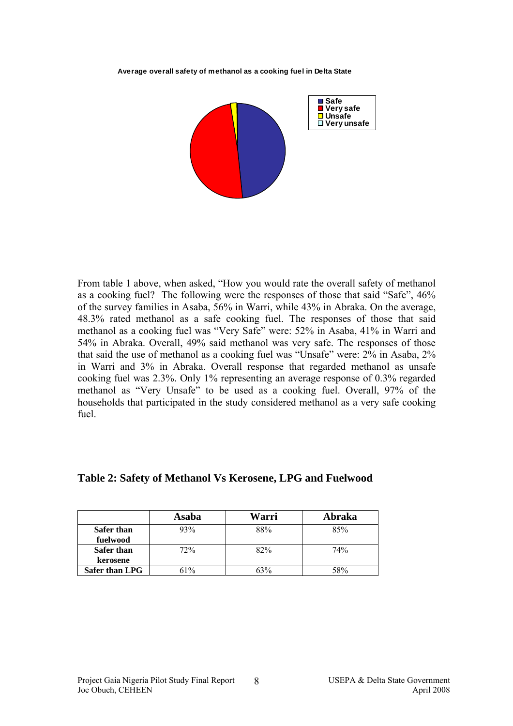**Average overall safety of methanol as a cooking fuel in Delta State** 



From table 1 above, when asked, "How you would rate the overall safety of methanol as a cooking fuel? The following were the responses of those that said "Safe", 46% of the survey families in Asaba, 56% in Warri, while 43% in Abraka. On the average, 48.3% rated methanol as a safe cooking fuel. The responses of those that said methanol as a cooking fuel was "Very Safe" were: 52% in Asaba, 41% in Warri and 54% in Abraka. Overall, 49% said methanol was very safe. The responses of those that said the use of methanol as a cooking fuel was "Unsafe" were: 2% in Asaba, 2% in Warri and 3% in Abraka. Overall response that regarded methanol as unsafe cooking fuel was 2.3%. Only 1% representing an average response of 0.3% regarded methanol as "Very Unsafe" to be used as a cooking fuel. Overall, 97% of the households that participated in the study considered methanol as a very safe cooking fuel.

|                       | Asaba | Warri | Abraka |
|-----------------------|-------|-------|--------|
| <b>Safer than</b>     | 93%   | 88%   | 85%    |
| fuelwood              |       |       |        |
| <b>Safer than</b>     | 72%   | 82%   | 74%    |
| kerosene              |       |       |        |
| <b>Safer than LPG</b> | 61%   | 63%   | 58%    |

### **Table 2: Safety of Methanol Vs Kerosene, LPG and Fuelwood**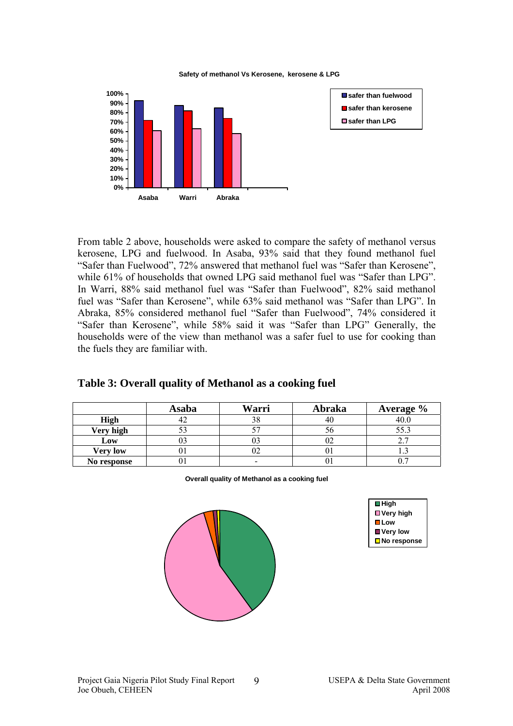#### **Safety of methanol Vs Kerosene, kerosene & LPG**



From table 2 above, households were asked to compare the safety of methanol versus kerosene, LPG and fuelwood. In Asaba, 93% said that they found methanol fuel "Safer than Fuelwood", 72% answered that methanol fuel was "Safer than Kerosene", while 61% of households that owned LPG said methanol fuel was "Safer than LPG". In Warri, 88% said methanol fuel was "Safer than Fuelwood", 82% said methanol fuel was "Safer than Kerosene", while 63% said methanol was "Safer than LPG". In Abraka, 85% considered methanol fuel "Safer than Fuelwood", 74% considered it "Safer than Kerosene", while 58% said it was "Safer than LPG" Generally, the households were of the view than methanol was a safer fuel to use for cooking than the fuels they are familiar with.

|                 | Asaba | Warri | Abraka | <b>Average</b> % |
|-----------------|-------|-------|--------|------------------|
| <b>High</b>     |       |       | 4U     |                  |
| Very high       |       |       |        |                  |
| Low             |       |       | UZ     |                  |
| <b>Very low</b> |       |       |        |                  |
| No response     |       |       |        |                  |

### **Table 3: Overall quality of Methanol as a cooking fuel**

| Overall quality of Methanol as a cooking fuel |  |  |
|-----------------------------------------------|--|--|
|-----------------------------------------------|--|--|



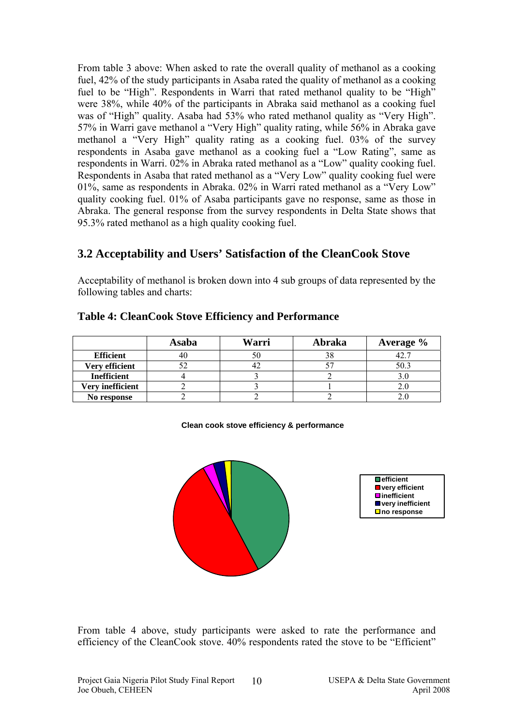From table 3 above: When asked to rate the overall quality of methanol as a cooking fuel, 42% of the study participants in Asaba rated the quality of methanol as a cooking fuel to be "High". Respondents in Warri that rated methanol quality to be "High" were 38%, while 40% of the participants in Abraka said methanol as a cooking fuel was of "High" quality. Asaba had 53% who rated methanol quality as "Very High". 57% in Warri gave methanol a "Very High" quality rating, while 56% in Abraka gave methanol a "Very High" quality rating as a cooking fuel. 03% of the survey respondents in Asaba gave methanol as a cooking fuel a "Low Rating", same as respondents in Warri. 02% in Abraka rated methanol as a "Low" quality cooking fuel. Respondents in Asaba that rated methanol as a "Very Low" quality cooking fuel were 01%, same as respondents in Abraka. 02% in Warri rated methanol as a "Very Low" quality cooking fuel. 01% of Asaba participants gave no response, same as those in Abraka. The general response from the survey respondents in Delta State shows that 95.3% rated methanol as a high quality cooking fuel.

## **3.2 Acceptability and Users' Satisfaction of the CleanCook Stove**

Acceptability of methanol is broken down into 4 sub groups of data represented by the following tables and charts:

|                    | Asaba | Warri | Abraka | Average % |
|--------------------|-------|-------|--------|-----------|
| <b>Efficient</b>   | 40    |       | 20     |           |
| Very efficient     |       |       |        | 50.       |
| <b>Inefficient</b> |       |       |        |           |
| Very inefficient   |       |       |        |           |
| No response        |       |       |        |           |

### **Table 4: CleanCook Stove Efficiency and Performance**

#### **Clean cook stove efficiency & performance**



From table 4 above, study participants were asked to rate the performance and efficiency of the CleanCook stove. 40% respondents rated the stove to be "Efficient"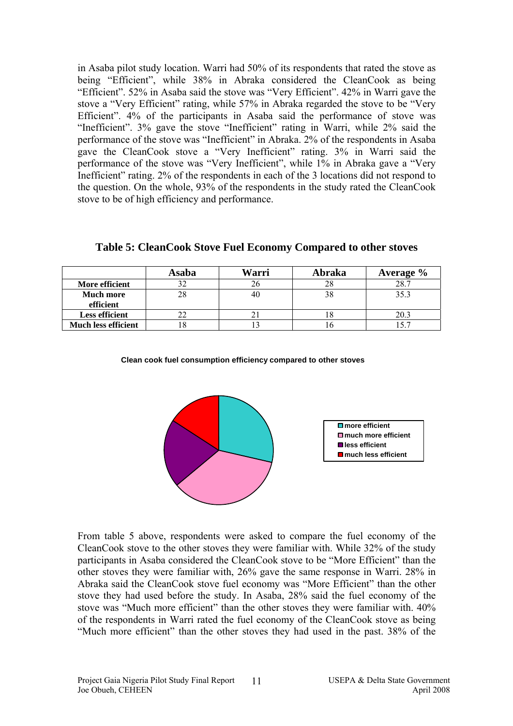in Asaba pilot study location. Warri had 50% of its respondents that rated the stove as being "Efficient", while 38% in Abraka considered the CleanCook as being "Efficient". 52% in Asaba said the stove was "Very Efficient". 42% in Warri gave the stove a "Very Efficient" rating, while 57% in Abraka regarded the stove to be "Very Efficient". 4% of the participants in Asaba said the performance of stove was "Inefficient". 3% gave the stove "Inefficient" rating in Warri, while 2% said the performance of the stove was "Inefficient" in Abraka. 2% of the respondents in Asaba gave the CleanCook stove a "Very Inefficient" rating. 3% in Warri said the performance of the stove was "Very Inefficient", while 1% in Abraka gave a "Very Inefficient" rating. 2% of the respondents in each of the 3 locations did not respond to the question. On the whole, 93% of the respondents in the study rated the CleanCook stove to be of high efficiency and performance.

|                            | Asaba | Warri | Abraka | Average $\%$ |
|----------------------------|-------|-------|--------|--------------|
| More efficient             |       |       |        | 28.7         |
| <b>Much more</b>           |       | 40    |        |              |
| efficient                  |       |       |        |              |
| Less efficient             |       |       |        |              |
| <b>Much less efficient</b> |       |       |        |              |

**Table 5: CleanCook Stove Fuel Economy Compared to other stoves** 

#### **Clean cook fuel consumption efficiency compared to other stoves**



From table 5 above, respondents were asked to compare the fuel economy of the CleanCook stove to the other stoves they were familiar with. While 32% of the study participants in Asaba considered the CleanCook stove to be "More Efficient" than the other stoves they were familiar with, 26% gave the same response in Warri. 28% in Abraka said the CleanCook stove fuel economy was "More Efficient" than the other stove they had used before the study. In Asaba, 28% said the fuel economy of the stove was "Much more efficient" than the other stoves they were familiar with. 40% of the respondents in Warri rated the fuel economy of the CleanCook stove as being "Much more efficient" than the other stoves they had used in the past. 38% of the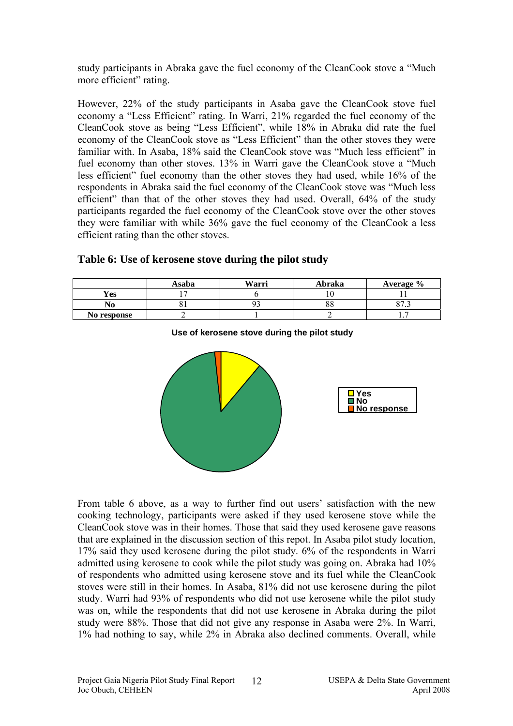study participants in Abraka gave the fuel economy of the CleanCook stove a "Much more efficient" rating.

However, 22% of the study participants in Asaba gave the CleanCook stove fuel economy a "Less Efficient" rating. In Warri, 21% regarded the fuel economy of the CleanCook stove as being "Less Efficient", while 18% in Abraka did rate the fuel economy of the CleanCook stove as "Less Efficient" than the other stoves they were familiar with. In Asaba, 18% said the CleanCook stove was "Much less efficient" in fuel economy than other stoves. 13% in Warri gave the CleanCook stove a "Much less efficient" fuel economy than the other stoves they had used, while 16% of the respondents in Abraka said the fuel economy of the CleanCook stove was "Much less efficient" than that of the other stoves they had used. Overall, 64% of the study participants regarded the fuel economy of the CleanCook stove over the other stoves they were familiar with while 36% gave the fuel economy of the CleanCook a less efficient rating than the other stoves.

|             | Asaba | Warri | Abraka   | Average $\%$ |
|-------------|-------|-------|----------|--------------|
| Yes         |       |       |          |              |
| No          | .     |       | эc<br>oο | $\sim$       |
| No response |       |       |          | . .          |

### **Table 6: Use of kerosene stove during the pilot study**



**Use of kerosene stove during the pilot study**

From table 6 above, as a way to further find out users' satisfaction with the new cooking technology, participants were asked if they used kerosene stove while the CleanCook stove was in their homes. Those that said they used kerosene gave reasons that are explained in the discussion section of this repot. In Asaba pilot study location, 17% said they used kerosene during the pilot study. 6% of the respondents in Warri admitted using kerosene to cook while the pilot study was going on. Abraka had 10% of respondents who admitted using kerosene stove and its fuel while the CleanCook stoves were still in their homes. In Asaba, 81% did not use kerosene during the pilot study. Warri had 93% of respondents who did not use kerosene while the pilot study was on, while the respondents that did not use kerosene in Abraka during the pilot study were 88%. Those that did not give any response in Asaba were 2%. In Warri, 1% had nothing to say, while 2% in Abraka also declined comments. Overall, while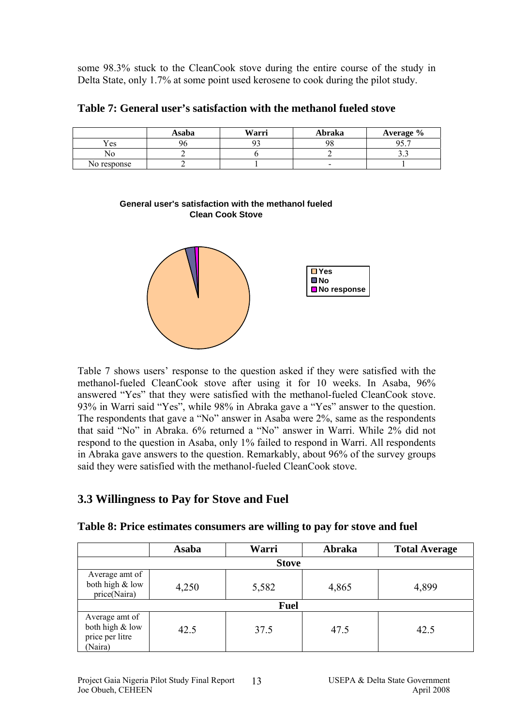some 98.3% stuck to the CleanCook stove during the entire course of the study in Delta State, only 1.7% at some point used kerosene to cook during the pilot study.

|  |  | Table 7: General user's satisfaction with the methanol fueled stove |  |
|--|--|---------------------------------------------------------------------|--|
|--|--|---------------------------------------------------------------------|--|

|             | Asaba | Warri | Abraka                   | Average %            |
|-------------|-------|-------|--------------------------|----------------------|
| ′es         | 96    |       | 98                       | ሰድ ግ<br>, <i>,</i> , |
| NO          |       |       |                          | ر. ر                 |
| No response |       |       | $\overline{\phantom{0}}$ |                      |

### **General user's satisfaction with the methanol fueled Clean Cook Stove**



Table 7 shows users' response to the question asked if they were satisfied with the methanol-fueled CleanCook stove after using it for 10 weeks. In Asaba, 96% answered "Yes" that they were satisfied with the methanol-fueled CleanCook stove. 93% in Warri said "Yes", while 98% in Abraka gave a "Yes" answer to the question. The respondents that gave a "No" answer in Asaba were 2%, same as the respondents that said "No" in Abraka. 6% returned a "No" answer in Warri. While 2% did not respond to the question in Asaba, only 1% failed to respond in Warri. All respondents in Abraka gave answers to the question. Remarkably, about 96% of the survey groups said they were satisfied with the methanol-fueled CleanCook stove.

# **3.3 Willingness to Pay for Stove and Fuel**

|                                                                 | Asaba | Warri        | Abraka | <b>Total Average</b> |
|-----------------------------------------------------------------|-------|--------------|--------|----------------------|
|                                                                 |       | <b>Stove</b> |        |                      |
| Average amt of<br>both high & low<br>price(Naira)               | 4,250 | 5,582        | 4,865  | 4,899                |
|                                                                 |       | <b>Fuel</b>  |        |                      |
| Average amt of<br>both high & low<br>price per litre<br>(Naira) | 42.5  | 37.5         | 47.5   | 42.5                 |

**Table 8: Price estimates consumers are willing to pay for stove and fuel**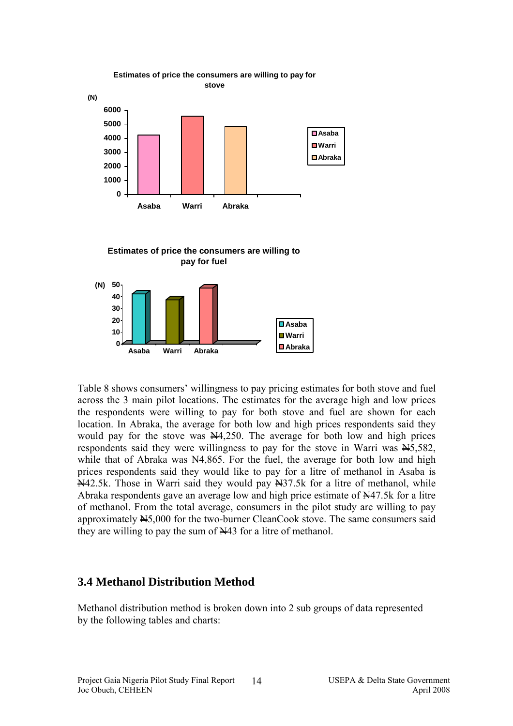

**Estimates of price the consumers are willing to pay for fuel**



Table 8 shows consumers' willingness to pay pricing estimates for both stove and fuel across the 3 main pilot locations. The estimates for the average high and low prices the respondents were willing to pay for both stove and fuel are shown for each location. In Abraka, the average for both low and high prices respondents said they would pay for the stove was  $N4,250$ . The average for both low and high prices respondents said they were willingness to pay for the stove in Warri was  $\frac{N}{10}$ , 582, while that of Abraka was  $\mathbb{N}4,865$ . For the fuel, the average for both low and high prices respondents said they would like to pay for a litre of methanol in Asaba is N42.5k. Those in Warri said they would pay N37.5k for a litre of methanol, while Abraka respondents gave an average low and high price estimate of  $\frac{N}{4}$ 7.5k for a litre of methanol. From the total average, consumers in the pilot study are willing to pay approximately  $\frac{M5,000}{N}$  for the two-burner CleanCook stove. The same consumers said they are willing to pay the sum of N43 for a litre of methanol.

### **3.4 Methanol Distribution Method**

Methanol distribution method is broken down into 2 sub groups of data represented by the following tables and charts: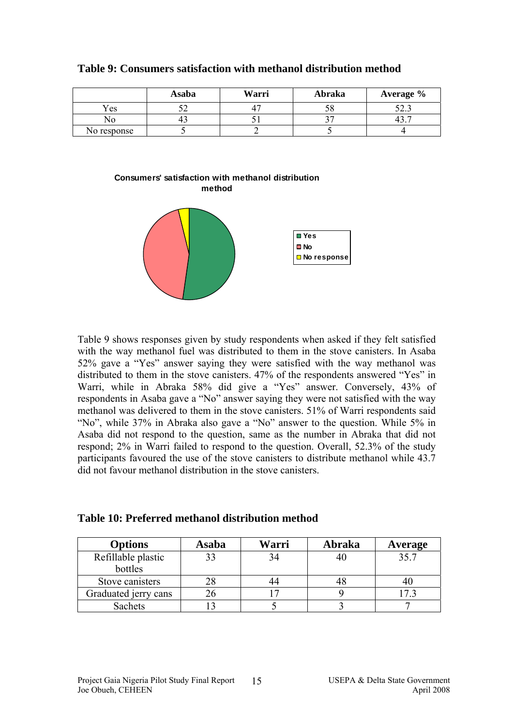|             | Asaba | Warri | Abraka | Average % |
|-------------|-------|-------|--------|-----------|
| Yes         |       |       | υo     | ن. ئەڭ    |
| NΟ          | 45    |       | ັ      | ⊤         |
| No response |       |       |        |           |





Table 9 shows responses given by study respondents when asked if they felt satisfied with the way methanol fuel was distributed to them in the stove canisters. In Asaba 52% gave a "Yes" answer saying they were satisfied with the way methanol was distributed to them in the stove canisters. 47% of the respondents answered "Yes" in Warri, while in Abraka 58% did give a "Yes" answer. Conversely, 43% of respondents in Asaba gave a "No" answer saying they were not satisfied with the way methanol was delivered to them in the stove canisters. 51% of Warri respondents said "No", while 37% in Abraka also gave a "No" answer to the question. While 5% in Asaba did not respond to the question, same as the number in Abraka that did not respond; 2% in Warri failed to respond to the question. Overall, 52.3% of the study participants favoured the use of the stove canisters to distribute methanol while 43.7 did not favour methanol distribution in the stove canisters.

| Table 10: Preferred methanol distribution method |  |
|--------------------------------------------------|--|
|--------------------------------------------------|--|

| <b>Options</b>       | Asaba | Warri | Abraka | Average |
|----------------------|-------|-------|--------|---------|
| Refillable plastic   |       |       | 40     | 35.7    |
| bottles              |       |       |        |         |
| Stove canisters      |       |       |        | 4U      |
| Graduated jerry cans |       |       |        |         |
| Sachets              |       |       |        |         |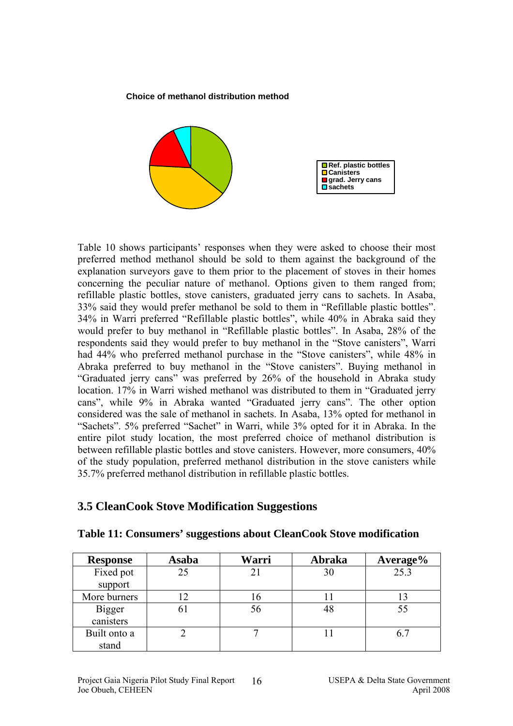#### **Choice of methanol distribution method**



Table 10 shows participants' responses when they were asked to choose their most preferred method methanol should be sold to them against the background of the explanation surveyors gave to them prior to the placement of stoves in their homes concerning the peculiar nature of methanol. Options given to them ranged from; refillable plastic bottles, stove canisters, graduated jerry cans to sachets. In Asaba, 33% said they would prefer methanol be sold to them in "Refillable plastic bottles". 34% in Warri preferred "Refillable plastic bottles", while 40% in Abraka said they would prefer to buy methanol in "Refillable plastic bottles". In Asaba, 28% of the respondents said they would prefer to buy methanol in the "Stove canisters", Warri had 44% who preferred methanol purchase in the "Stove canisters", while 48% in Abraka preferred to buy methanol in the "Stove canisters". Buying methanol in "Graduated jerry cans" was preferred by 26% of the household in Abraka study location. 17% in Warri wished methanol was distributed to them in "Graduated jerry cans", while 9% in Abraka wanted "Graduated jerry cans". The other option considered was the sale of methanol in sachets. In Asaba, 13% opted for methanol in "Sachets". 5% preferred "Sachet" in Warri, while 3% opted for it in Abraka. In the entire pilot study location, the most preferred choice of methanol distribution is between refillable plastic bottles and stove canisters. However, more consumers, 40% of the study population, preferred methanol distribution in the stove canisters while 35.7% preferred methanol distribution in refillable plastic bottles.

## **3.5 CleanCook Stove Modification Suggestions**

| <b>Response</b> | <b>Asaba</b> | Warri | Abraka | Average% |
|-----------------|--------------|-------|--------|----------|
| Fixed pot       | 25           |       | 30     | 25.3     |
| support         |              |       |        |          |
| More burners    |              |       |        |          |
| Bigger          | 61           | 56    | 48     | 55       |
| canisters       |              |       |        |          |
| Built onto a    |              |       |        |          |
| stand           |              |       |        |          |

### **Table 11: Consumers' suggestions about CleanCook Stove modification**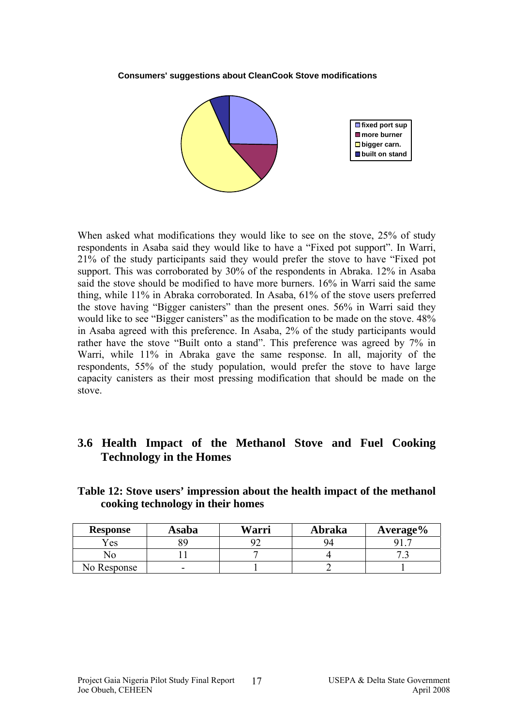#### **Consumers' suggestions about CleanCook Stove modifications**



When asked what modifications they would like to see on the stove, 25% of study respondents in Asaba said they would like to have a "Fixed pot support". In Warri, 21% of the study participants said they would prefer the stove to have "Fixed pot support. This was corroborated by 30% of the respondents in Abraka. 12% in Asaba said the stove should be modified to have more burners. 16% in Warri said the same thing, while 11% in Abraka corroborated. In Asaba, 61% of the stove users preferred the stove having "Bigger canisters" than the present ones. 56% in Warri said they would like to see "Bigger canisters" as the modification to be made on the stove.  $48\%$ in Asaba agreed with this preference. In Asaba, 2% of the study participants would rather have the stove "Built onto a stand". This preference was agreed by 7% in Warri, while 11% in Abraka gave the same response. In all, majority of the respondents, 55% of the study population, would prefer the stove to have large capacity canisters as their most pressing modification that should be made on the stove.

# **3.6 Health Impact of the Methanol Stove and Fuel Cooking Technology in the Homes**

| <b>Response</b> | Asaba | Warri | Abraka | Average% |
|-----------------|-------|-------|--------|----------|
| r es            | 89    |       | 94     |          |

No | 11 | 7 | 4 | 7.3

No Response  $\begin{vmatrix} 1 & 1 & 2 \end{vmatrix}$ 

### **Table 12: Stove users' impression about the health impact of the methanol cooking technology in their homes**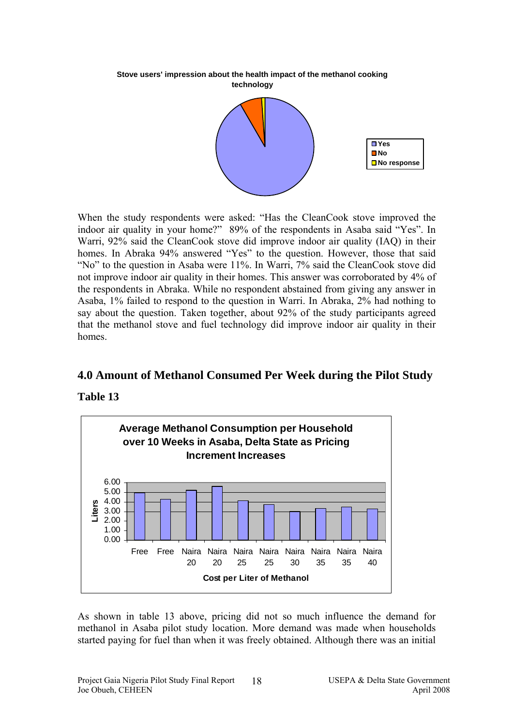**Stove users' impression about the health impact of the methanol cooking technology**



 When the study respondents were asked: "Has the CleanCook stove improved the indoor air quality in your home?" 89% of the respondents in Asaba said "Yes". In Warri, 92% said the CleanCook stove did improve indoor air quality (IAQ) in their homes. In Abraka 94% answered "Yes" to the question. However, those that said "No" to the question in Asaba were 11%. In Warri, 7% said the CleanCook stove did not improve indoor air quality in their homes. This answer was corroborated by 4% of the respondents in Abraka. While no respondent abstained from giving any answer in Asaba, 1% failed to respond to the question in Warri. In Abraka, 2% had nothing to say about the question. Taken together, about 92% of the study participants agreed that the methanol stove and fuel technology did improve indoor air quality in their homes.

### **4.0 Amount of Methanol Consumed Per Week during the Pilot Study**

**Table 13** 



As shown in table 13 above, pricing did not so much influence the demand for methanol in Asaba pilot study location. More demand was made when households started paying for fuel than when it was freely obtained. Although there was an initial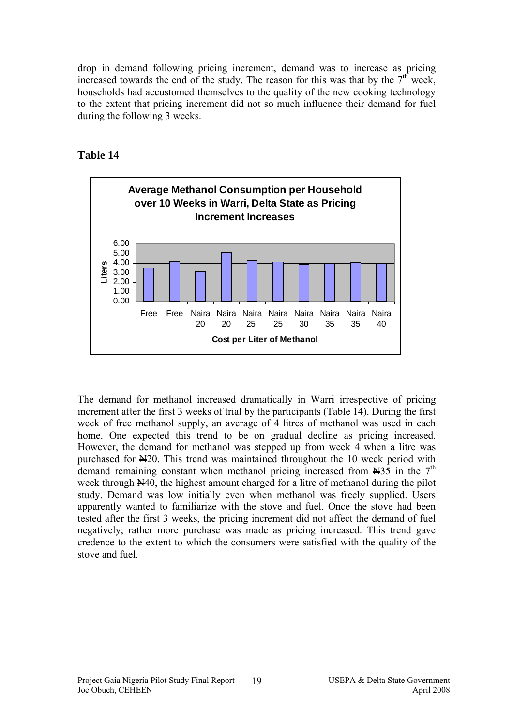drop in demand following pricing increment, demand was to increase as pricing increased towards the end of the study. The reason for this was that by the  $7<sup>th</sup>$  week, households had accustomed themselves to the quality of the new cooking technology to the extent that pricing increment did not so much influence their demand for fuel during the following 3 weeks.



### **Table 14**

The demand for methanol increased dramatically in Warri irrespective of pricing increment after the first 3 weeks of trial by the participants (Table 14). During the first week of free methanol supply, an average of 4 litres of methanol was used in each home. One expected this trend to be on gradual decline as pricing increased. However, the demand for methanol was stepped up from week 4 when a litre was purchased for N20. This trend was maintained throughout the 10 week period with demand remaining constant when methanol pricing increased from  $\mathbb{H}35$  in the 7<sup>th</sup> week through N40, the highest amount charged for a litre of methanol during the pilot study. Demand was low initially even when methanol was freely supplied. Users apparently wanted to familiarize with the stove and fuel. Once the stove had been tested after the first 3 weeks, the pricing increment did not affect the demand of fuel negatively; rather more purchase was made as pricing increased. This trend gave credence to the extent to which the consumers were satisfied with the quality of the stove and fuel.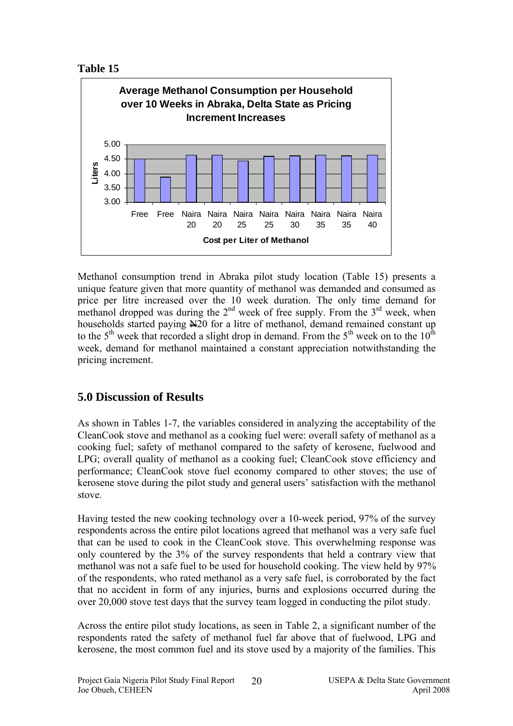



Methanol consumption trend in Abraka pilot study location (Table 15) presents a unique feature given that more quantity of methanol was demanded and consumed as price per litre increased over the 10 week duration. The only time demand for methanol dropped was during the  $2<sup>nd</sup>$  week of free supply. From the  $3<sup>rd</sup>$  week, when households started paying  $\angle$ 20 for a litre of methanol, demand remained constant up to the  $5<sup>th</sup>$  week that recorded a slight drop in demand. From the  $5<sup>th</sup>$  week on to the  $10<sup>th</sup>$ week, demand for methanol maintained a constant appreciation notwithstanding the pricing increment.

# **5.0 Discussion of Results**

As shown in Tables 1-7, the variables considered in analyzing the acceptability of the CleanCook stove and methanol as a cooking fuel were: overall safety of methanol as a cooking fuel; safety of methanol compared to the safety of kerosene, fuelwood and LPG; overall quality of methanol as a cooking fuel; CleanCook stove efficiency and performance; CleanCook stove fuel economy compared to other stoves; the use of kerosene stove during the pilot study and general users' satisfaction with the methanol stove.

Having tested the new cooking technology over a 10-week period, 97% of the survey respondents across the entire pilot locations agreed that methanol was a very safe fuel that can be used to cook in the CleanCook stove. This overwhelming response was only countered by the 3% of the survey respondents that held a contrary view that methanol was not a safe fuel to be used for household cooking. The view held by 97% of the respondents, who rated methanol as a very safe fuel, is corroborated by the fact that no accident in form of any injuries, burns and explosions occurred during the over 20,000 stove test days that the survey team logged in conducting the pilot study.

Across the entire pilot study locations, as seen in Table 2, a significant number of the respondents rated the safety of methanol fuel far above that of fuelwood, LPG and kerosene, the most common fuel and its stove used by a majority of the families. This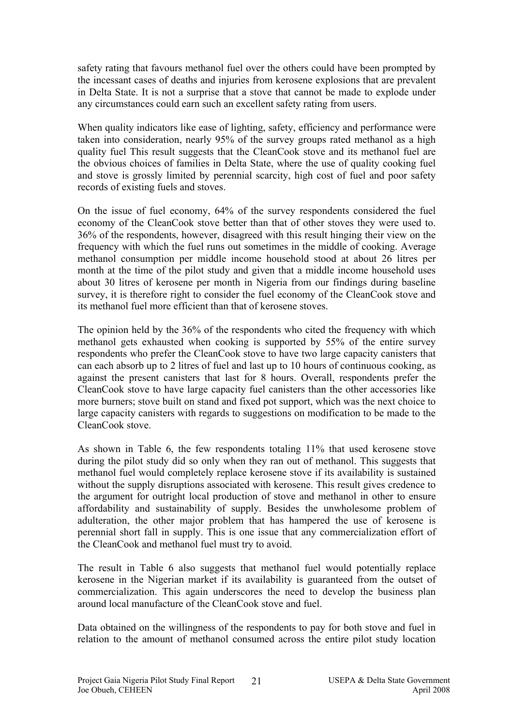safety rating that favours methanol fuel over the others could have been prompted by the incessant cases of deaths and injuries from kerosene explosions that are prevalent in Delta State. It is not a surprise that a stove that cannot be made to explode under any circumstances could earn such an excellent safety rating from users.

When quality indicators like ease of lighting, safety, efficiency and performance were taken into consideration, nearly 95% of the survey groups rated methanol as a high quality fuel This result suggests that the CleanCook stove and its methanol fuel are the obvious choices of families in Delta State, where the use of quality cooking fuel and stove is grossly limited by perennial scarcity, high cost of fuel and poor safety records of existing fuels and stoves.

On the issue of fuel economy, 64% of the survey respondents considered the fuel economy of the CleanCook stove better than that of other stoves they were used to. 36% of the respondents, however, disagreed with this result hinging their view on the frequency with which the fuel runs out sometimes in the middle of cooking. Average methanol consumption per middle income household stood at about 26 litres per month at the time of the pilot study and given that a middle income household uses about 30 litres of kerosene per month in Nigeria from our findings during baseline survey, it is therefore right to consider the fuel economy of the CleanCook stove and its methanol fuel more efficient than that of kerosene stoves.

The opinion held by the 36% of the respondents who cited the frequency with which methanol gets exhausted when cooking is supported by 55% of the entire survey respondents who prefer the CleanCook stove to have two large capacity canisters that can each absorb up to 2 litres of fuel and last up to 10 hours of continuous cooking, as against the present canisters that last for 8 hours. Overall, respondents prefer the CleanCook stove to have large capacity fuel canisters than the other accessories like more burners; stove built on stand and fixed pot support, which was the next choice to large capacity canisters with regards to suggestions on modification to be made to the CleanCook stove.

As shown in Table 6, the few respondents totaling 11% that used kerosene stove during the pilot study did so only when they ran out of methanol. This suggests that methanol fuel would completely replace kerosene stove if its availability is sustained without the supply disruptions associated with kerosene. This result gives credence to the argument for outright local production of stove and methanol in other to ensure affordability and sustainability of supply. Besides the unwholesome problem of adulteration, the other major problem that has hampered the use of kerosene is perennial short fall in supply. This is one issue that any commercialization effort of the CleanCook and methanol fuel must try to avoid.

The result in Table 6 also suggests that methanol fuel would potentially replace kerosene in the Nigerian market if its availability is guaranteed from the outset of commercialization. This again underscores the need to develop the business plan around local manufacture of the CleanCook stove and fuel.

Data obtained on the willingness of the respondents to pay for both stove and fuel in relation to the amount of methanol consumed across the entire pilot study location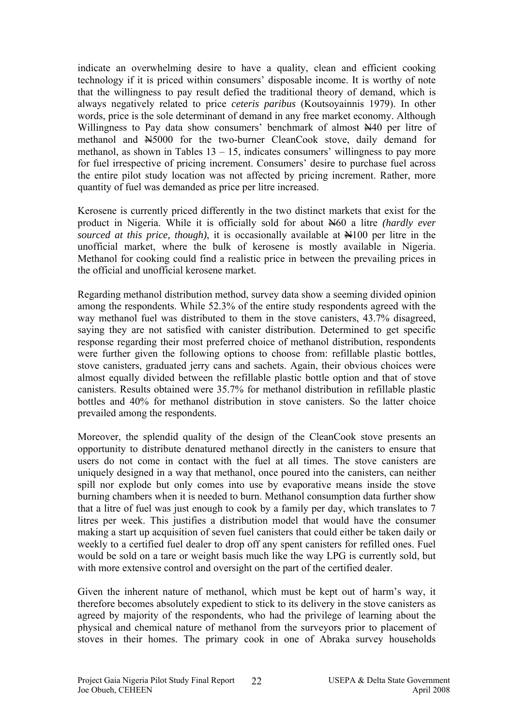indicate an overwhelming desire to have a quality, clean and efficient cooking technology if it is priced within consumers' disposable income. It is worthy of note that the willingness to pay result defied the traditional theory of demand, which is always negatively related to price *ceteris paribus* (Koutsoyainnis 1979). In other words, price is the sole determinant of demand in any free market economy. Although Willingness to Pay data show consumers' benchmark of almost  $\mathbb{N}^{40}$  per litre of methanol and N5000 for the two-burner CleanCook stove, daily demand for methanol, as shown in Tables  $13 - 15$ , indicates consumers' willingness to pay more for fuel irrespective of pricing increment. Consumers' desire to purchase fuel across the entire pilot study location was not affected by pricing increment. Rather, more quantity of fuel was demanded as price per litre increased.

Kerosene is currently priced differently in the two distinct markets that exist for the product in Nigeria. While it is officially sold for about N60 a litre *(hardly ever sourced at this price, though*), it is occasionally available at  $\mathbb{H}100$  per litre in the unofficial market, where the bulk of kerosene is mostly available in Nigeria. Methanol for cooking could find a realistic price in between the prevailing prices in the official and unofficial kerosene market.

Regarding methanol distribution method, survey data show a seeming divided opinion among the respondents. While 52.3% of the entire study respondents agreed with the way methanol fuel was distributed to them in the stove canisters, 43.7% disagreed, saying they are not satisfied with canister distribution. Determined to get specific response regarding their most preferred choice of methanol distribution, respondents were further given the following options to choose from: refillable plastic bottles, stove canisters, graduated jerry cans and sachets. Again, their obvious choices were almost equally divided between the refillable plastic bottle option and that of stove canisters. Results obtained were 35.7% for methanol distribution in refillable plastic bottles and 40% for methanol distribution in stove canisters. So the latter choice prevailed among the respondents.

Moreover, the splendid quality of the design of the CleanCook stove presents an opportunity to distribute denatured methanol directly in the canisters to ensure that users do not come in contact with the fuel at all times. The stove canisters are uniquely designed in a way that methanol, once poured into the canisters, can neither spill nor explode but only comes into use by evaporative means inside the stove burning chambers when it is needed to burn. Methanol consumption data further show that a litre of fuel was just enough to cook by a family per day, which translates to 7 litres per week. This justifies a distribution model that would have the consumer making a start up acquisition of seven fuel canisters that could either be taken daily or weekly to a certified fuel dealer to drop off any spent canisters for refilled ones. Fuel would be sold on a tare or weight basis much like the way LPG is currently sold, but with more extensive control and oversight on the part of the certified dealer.

Given the inherent nature of methanol, which must be kept out of harm's way, it therefore becomes absolutely expedient to stick to its delivery in the stove canisters as agreed by majority of the respondents, who had the privilege of learning about the physical and chemical nature of methanol from the surveyors prior to placement of stoves in their homes. The primary cook in one of Abraka survey households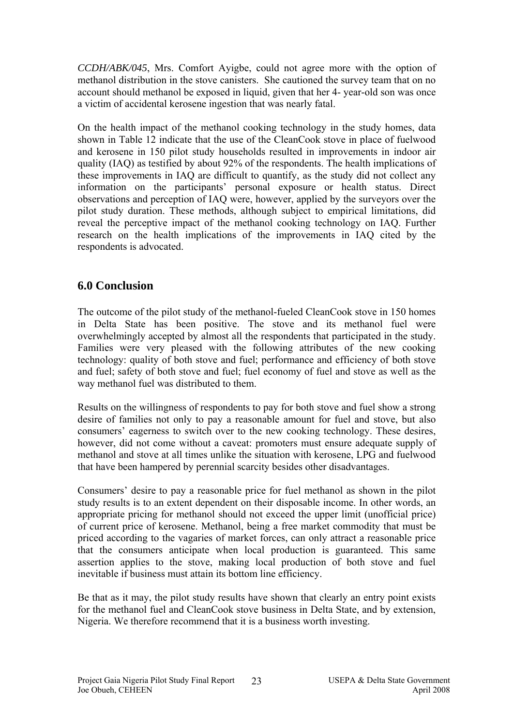*CCDH/ABK/045*, Mrs. Comfort Ayigbe, could not agree more with the option of methanol distribution in the stove canisters. She cautioned the survey team that on no account should methanol be exposed in liquid, given that her 4- year-old son was once a victim of accidental kerosene ingestion that was nearly fatal.

On the health impact of the methanol cooking technology in the study homes, data shown in Table 12 indicate that the use of the CleanCook stove in place of fuelwood and kerosene in 150 pilot study households resulted in improvements in indoor air quality (IAQ) as testified by about 92% of the respondents. The health implications of these improvements in IAQ are difficult to quantify, as the study did not collect any information on the participants' personal exposure or health status. Direct observations and perception of IAQ were, however, applied by the surveyors over the pilot study duration. These methods, although subject to empirical limitations, did reveal the perceptive impact of the methanol cooking technology on IAQ. Further research on the health implications of the improvements in IAQ cited by the respondents is advocated.

## **6.0 Conclusion**

The outcome of the pilot study of the methanol-fueled CleanCook stove in 150 homes in Delta State has been positive. The stove and its methanol fuel were overwhelmingly accepted by almost all the respondents that participated in the study. Families were very pleased with the following attributes of the new cooking technology: quality of both stove and fuel; performance and efficiency of both stove and fuel; safety of both stove and fuel; fuel economy of fuel and stove as well as the way methanol fuel was distributed to them.

Results on the willingness of respondents to pay for both stove and fuel show a strong desire of families not only to pay a reasonable amount for fuel and stove, but also consumers' eagerness to switch over to the new cooking technology. These desires, however, did not come without a caveat: promoters must ensure adequate supply of methanol and stove at all times unlike the situation with kerosene, LPG and fuelwood that have been hampered by perennial scarcity besides other disadvantages.

Consumers' desire to pay a reasonable price for fuel methanol as shown in the pilot study results is to an extent dependent on their disposable income. In other words, an appropriate pricing for methanol should not exceed the upper limit (unofficial price) of current price of kerosene. Methanol, being a free market commodity that must be priced according to the vagaries of market forces, can only attract a reasonable price that the consumers anticipate when local production is guaranteed. This same assertion applies to the stove, making local production of both stove and fuel inevitable if business must attain its bottom line efficiency.

Be that as it may, the pilot study results have shown that clearly an entry point exists for the methanol fuel and CleanCook stove business in Delta State, and by extension, Nigeria. We therefore recommend that it is a business worth investing.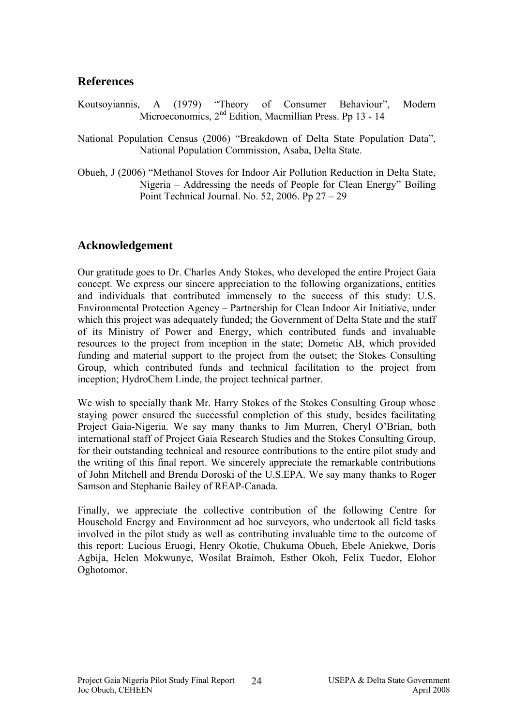### **References**

- Koutsoyiannis, A (1979) "Theory of Consumer Behaviour", Modern Microeconomics, 2<sup>nd</sup> Edition, Macmillian Press. Pp 13 - 14
- National Population Census (2006) "Breakdown of Delta State Population Data", National Population Commission, Asaba, Delta State.
- Obueh, J (2006) "Methanol Stoves for Indoor Air Pollution Reduction in Delta State, Nigeria – Addressing the needs of People for Clean Energy" Boiling Point Technical Journal. No. 52, 2006. Pp 27 – 29

## **Acknowledgement**

Our gratitude goes to Dr. Charles Andy Stokes, who developed the entire Project Gaia concept. We express our sincere appreciation to the following organizations, entities and individuals that contributed immensely to the success of this study: U.S. Environmental Protection Agency – Partnership for Clean Indoor Air Initiative, under which this project was adequately funded; the Government of Delta State and the staff of its Ministry of Power and Energy, which contributed funds and invaluable resources to the project from inception in the state; Dometic AB, which provided funding and material support to the project from the outset; the Stokes Consulting Group, which contributed funds and technical facilitation to the project from inception; HydroChem Linde, the project technical partner.

We wish to specially thank Mr. Harry Stokes of the Stokes Consulting Group whose staying power ensured the successful completion of this study, besides facilitating Project Gaia-Nigeria. We say many thanks to Jim Murren, Cheryl O'Brian, both international staff of Project Gaia Research Studies and the Stokes Consulting Group, for their outstanding technical and resource contributions to the entire pilot study and the writing of this final report. We sincerely appreciate the remarkable contributions of John Mitchell and Brenda Doroski of the U.S.EPA. We say many thanks to Roger Samson and Stephanie Bailey of REAP-Canada.

Finally, we appreciate the collective contribution of the following Centre for Household Energy and Environment ad hoc surveyors, who undertook all field tasks involved in the pilot study as well as contributing invaluable time to the outcome of this report: Lucious Eruogi, Henry Okotie, Chukuma Obueh, Ebele Aniekwe, Doris Agbija, Helen Mokwunye, Wosilat Braimoh, Esther Okoh, Felix Tuedor, Elohor Oghotomor.